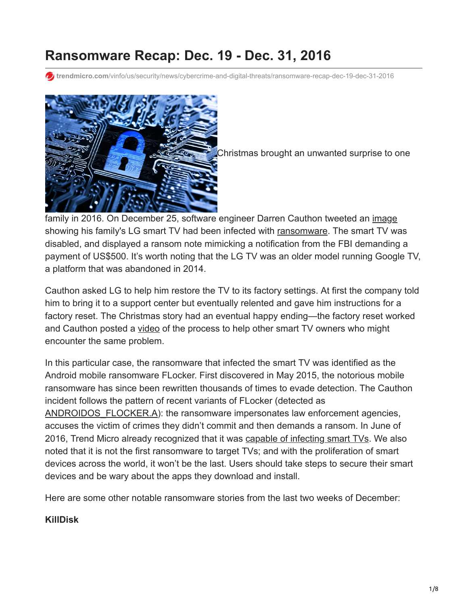# **Ransomware Recap: Dec. 19 - Dec. 31, 2016**

**trendmicro.com**[/vinfo/us/security/news/cybercrime-and-digital-threats/ransomware-recap-dec-19-dec-31-2016](https://www.trendmicro.com/vinfo/us/security/news/cybercrime-and-digital-threats/ransomware-recap-dec-19-dec-31-2016)



Christmas brought an unwanted surprise to one

family in 2016. On December 25, software engineer Darren Cauthon tweeted an [image](https://twitter.com/darrencauthon/status/813096722989809665?lang=en) showing his family's LG smart TV had been infected with [ransomware.](https://www.trendmicro.com/vinfo/us/security/definition/ransomware) The smart TV was disabled, and displayed a ransom note mimicking a notification from the FBI demanding a payment of US\$500. It's worth noting that the LG TV was an older model running Google TV, a platform that was abandoned in 2014.

Cauthon asked LG to help him restore the TV to its factory settings. At first the company told him to bring it to a support center but eventually relented and gave him instructions for a factory reset. The Christmas story had an eventual happy ending—the factory reset worked and Cauthon posted a [video](https://www.youtube.com/watch?v=0WZ4uLFTHEE) of the process to help other smart TV owners who might encounter the same problem.

In this particular case, the ransomware that infected the smart TV was identified as the Android mobile ransomware FLocker. First discovered in May 2015, the notorious mobile ransomware has since been rewritten thousands of times to evade detection. The Cauthon incident follows the pattern of recent variants of FLocker (detected as [ANDROIDOS\\_FLOCKER.A](https://www.trendmicro.com/vinfo/us/threat-encyclopedia/malware/androidos_flocker.a)): the ransomware impersonates law enforcement agencies, accuses the victim of crimes they didn't commit and then demands a ransom. In June of 2016, Trend Micro already recognized that it was [capable of infecting smart TVs.](http://blog.trendmicro.com/trendlabs-security-intelligence/flocker-ransomware-crosses-smart-tv/) We also noted that it is not the first ransomware to target TVs; and with the proliferation of smart devices across the world, it won't be the last. Users should take steps to secure their smart devices and be wary about the apps they download and install.

Here are some other notable ransomware stories from the last two weeks of December:

### **KillDisk**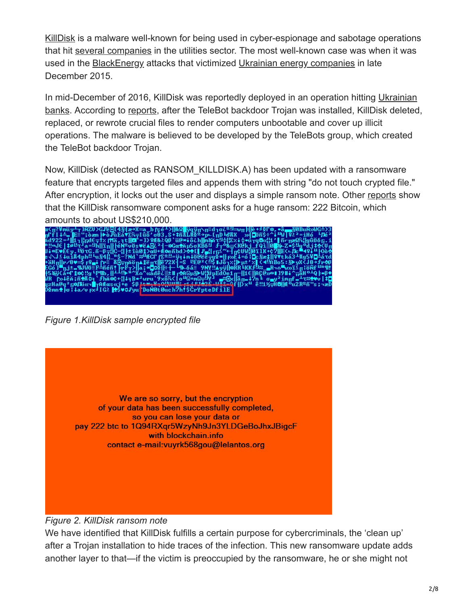[KillDisk](https://www.trendmicro.com/vinfo/us/threat-encyclopedia/archive/malware/killdisk.e) is a malware well-known for being used in cyber-espionage and sabotage operations that hit [several companies](http://blog.trendmicro.com/trendlabs-security-intelligence/killdisk-and-blackenergy-are-not-just-energy-sector-threats/) in the utilities sector. The most well-known case was when it was used in the [BlackEnergy](https://www.trendmicro.com/vinfo/us/security/news/cyber-attacks/faq-blackenergy) attacks that victimized [Ukrainian energy companies](https://www.trendmicro.com/vinfo/us/security/news/cyber-attacks/first-malware-driven-power-outage-reported-in-ukraine) in late December 2015.

In mid-December of 2016, KillDisk was reportedly deployed in an operation hitting Ukrainian [banks. According to reports, after the TeleBot backdoor Trojan was installed, KillDisk deleted](http://news.softpedia.com/news/blackenergy-hackers-now-launching-attacks-against-ukrainian-banks-511003.shtml), replaced, or rewrote crucial files to render computers unbootable and cover up illicit operations. The malware is believed to be developed by the TeleBots group, which created the TeleBot backdoor Trojan.

Now, KillDisk (detected as RANSOM\_KILLDISK.A) has been updated with a ransomware feature that encrypts targeted files and appends them with string "do not touch crypted file." After encryption, it locks out the user and displays a simple ransom note. Other [reports](https://www.enterprisetimes.co.uk/2016/12/30/killdisk-ransomware-wants-210000/) show that the KillDisk ransomware component asks for a huge ransom: 222 Bitcoin, which amounts to about US\$210,000.

*Figure 1.KillDisk sample encrypted file*

We are so sorry, but the encryption of your data has been successfully completed, so you can lose your data or pay 222 btc to 1Q94RXqr5WzyNh9Jn3YLDGeBoJhxJBigcF with blockchain.info contact e-mail: vuyrk568gou@lelantos.org

#### *Figure 2. KillDisk ransom note*

We have identified that KillDisk fulfills a certain purpose for cybercriminals, the 'clean up' after a Trojan installation to hide traces of the infection. This new ransomware update adds another layer to that—if the victim is preoccupied by the ransomware, he or she might not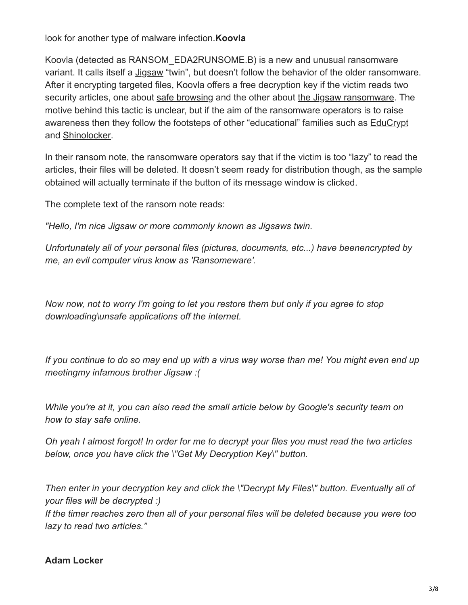look for another type of malware infection.**Koovla**

Koovla (detected as RANSOM\_EDA2RUNSOME.B) is a new and unusual ransomware variant. It calls itself a [Jigsaw](http://blog.trendmicro.com/trendlabs-security-intelligence/jigsaw-ransomware-plays-games-victims/) "twin", but doesn't follow the behavior of the older ransomware. After it encrypting targeted files, Koovla offers a free decryption key if the victim reads two security articles, one about [safe browsing](https://security.googleblog.com/2010/09/stay-safe-while-browsing.html) and the other about [the Jigsaw ransomware.](http://www.bleepingcomputer.com/news/security/jigsaw-ransomware-decrypted-will-delete-your-files-until-you-pay-the-ransom/) The motive behind this tactic is unclear, but if the aim of the ransomware operators is to raise awareness then they follow the footsteps of other "educational" families such as [EduCrypt](http://www.ibtimes.co.uk/educrypt-ransomware-that-teaches-victims-lesson-about-internet-safety-1568106) and [Shinolocker](https://www.trendmicro.com/vinfo/us/threat-encyclopedia/malware/ransom_shinolock.a).

In their ransom note, the ransomware operators say that if the victim is too "lazy" to read the articles, their files will be deleted. It doesn't seem ready for distribution though, as the sample obtained will actually terminate if the button of its message window is clicked.

The complete text of the ransom note reads:

*"Hello, I'm nice Jigsaw or more commonly known as Jigsaws twin.*

*Unfortunately all of your personal files (pictures, documents, etc...) have beenencrypted by me, an evil computer virus know as 'Ransomeware'.*

*Now now, not to worry I'm going to let you restore them but only if you agree to stop downloading\unsafe applications off the internet.*

*If you continue to do so may end up with a virus way worse than me! You might even end up meetingmy infamous brother Jigsaw :(*

*While you're at it, you can also read the small article below by Google's security team on how to stay safe online.*

*Oh yeah I almost forgot! In order for me to decrypt your files you must read the two articles below, once you have click the \"Get My Decryption Key\" button.*

*Then enter in your decryption key and click the \"Decrypt My Files\" button. Eventually all of your files will be decrypted :)*

*If the timer reaches zero then all of your personal files will be deleted because you were too lazy to read two articles."*

### **Adam Locker**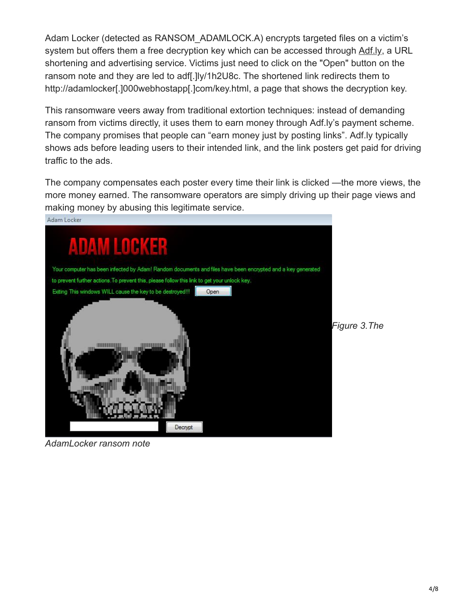Adam Locker (detected as RANSOM\_ADAMLOCK.A) encrypts targeted files on a victim's system but offers them a free decryption key which can be accessed through [Adf.ly,](https://adf.ly/) a URL shortening and advertising service. Victims just need to click on the "Open" button on the ransom note and they are led to adf[.]ly/1h2U8c. The shortened link redirects them to http://adamlocker[.]000webhostapp[.]com/key.html, a page that shows the decryption key.

This ransomware veers away from traditional extortion techniques: instead of demanding ransom from victims directly, it uses them to earn money through Adf.ly's payment scheme. The company promises that people can "earn money just by posting links". Adf.ly typically shows ads before leading users to their intended link, and the link posters get paid for driving traffic to the ads.

The company compensates each poster every time their link is clicked —the more views, the more money earned. The ransomware operators are simply driving up their page views and making money by abusing this legitimate service.



*AdamLocker ransom note*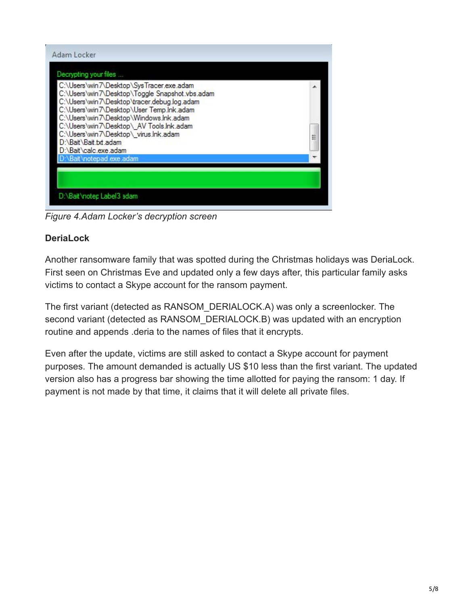| C:\Users\win7\Desktop\SysTracer.exe.adam                                                      |   |
|-----------------------------------------------------------------------------------------------|---|
| C:\Users\win7\Desktop\Toggle Snapshot.vbs.adam<br>C:\Users\win7\Desktop\tracer.debug.log.adam |   |
| C:\Users\win7\Desktop\User Temp.Ink.adam<br>C:\Users\win7\Desktop\Windows.Ink.adam            |   |
| C:\Users\win7\Desktop\ AV Tools.Ink.adam                                                      |   |
| C:\Users\win7\Desktop\virus.Ink.adam                                                          | Ξ |
| D:\Bait\calc.exe.adam                                                                         |   |
| D:\Bait\notepad.exe.adam                                                                      |   |
| D:\Bait\Bait.bd.adam                                                                          |   |

*Figure 4.Adam Locker's decryption screen*

# **DeriaLock**

Another ransomware family that was spotted during the Christmas holidays was DeriaLock. First seen on Christmas Eve and updated only a few days after, this particular family asks victims to contact a Skype account for the ransom payment.

The first variant (detected as RANSOM\_DERIALOCK.A) was only a screenlocker. The second variant (detected as RANSOM\_DERIALOCK.B) was updated with an encryption routine and appends .deria to the names of files that it encrypts.

Even after the update, victims are still asked to contact a Skype account for payment purposes. The amount demanded is actually US \$10 less than the first variant. The updated version also has a progress bar showing the time allotted for paying the ransom: 1 day. If payment is not made by that time, it claims that it will delete all private files.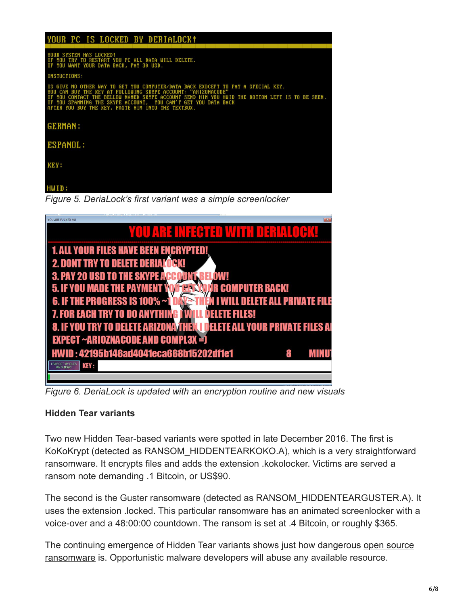### YOUR PC IS LOCKED BY DERIALOCK!

JOCKED!<br>START YOU PC ALL DATA WILL DELETE.<br>DATA BACK, PAY 30 USD.

**NICTIONS:** 

PUTER/DATA BACK EXDCEPT TO PAY A SPECIAL KEY. HWID THE BOTTOM LEFT IS TO BE SEEM. HIM YOU BUY THE KEY, PASTE HIM INTO THE TEXTB0) **GERMAN:** ESPANOL: **KEY:** 

#### HWID:

*Figure 5. DeriaLock's first variant was a simple screenlocker*

| $\mathbf{X}$<br>YOU ARE FUCKED M8                                   |
|---------------------------------------------------------------------|
| YOU ARE INFECTED WITH DERIALOCK!                                    |
| <b>1. ALL YOUR FILES HAVE BEEN ENCRYPTED!</b>                       |
| <b>2. DONT TRY TO DELETE DERIALOGK!</b>                             |
| <b>3. PAY 20 USD TO THE SKYPE AGGOUNT</b>                           |
| <b>5. IF YOU MADE THE PAYMENT</b><br>IR COMPUTER BACK!              |
| 6. IF THE PROGRESS IS 100% ~1<br>ELETE ALL PRIVAT                   |
| <b>7. FOR EACH TRY TO DO ANYTHIN</b><br>ELETE FILES!                |
| 8. IF YOU TRY TO DELETE ARIZONATHEN DELETE ALL YOUR PRIVATE FILES A |
| <b>EXPECT ~ARIOZNACODE AND COMPL3X = 0</b>                          |
| HWID: 42195b146ad4041eca668b15202df1e1                              |
| <b>I PAY GET MY FILES</b><br><b>KEY:</b>                            |
|                                                                     |

*Figure 6. DeriaLock is updated with an encryption routine and new visuals*

### **Hidden Tear variants**

Two new Hidden Tear-based variants were spotted in late December 2016. The first is KoKoKrypt (detected as RANSOM\_HIDDENTEARKOKO.A), which is a very straightforward ransomware. It encrypts files and adds the extension .kokolocker. Victims are served a ransom note demanding .1 Bitcoin, or US\$90.

The second is the Guster ransomware (detected as RANSOM\_HIDDENTEARGUSTER.A). It uses the extension .locked. This particular ransomware has an animated screenlocker with a voice-over and a 48:00:00 countdown. The ransom is set at .4 Bitcoin, or roughly \$365.

[The continuing emergence of Hidden Tear variants shows just how dangerous open source](http://blog.trendmicro.com/the-problem-with-open-source-malware/) ransomware is. Opportunistic malware developers will abuse any available resource.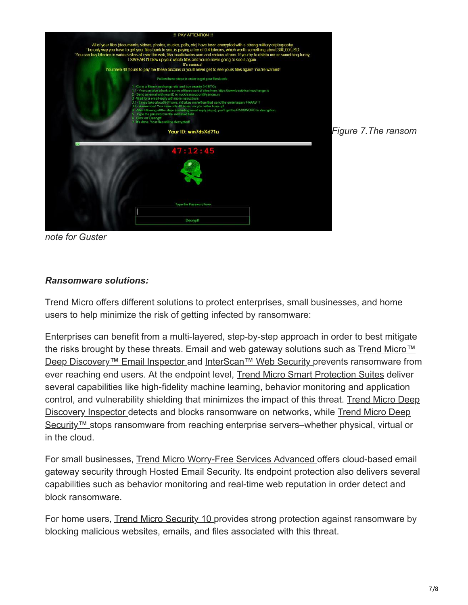

*note for Guster*

## *Ransomware solutions:*

Trend Micro offers different solutions to protect enterprises, small businesses, and home users to help minimize the risk of getting infected by ransomware:

Enterprises can benefit from a multi-layered, step-by-step approach in order to best mitigate [the risks brought by these threats. Email and web gateway solutions such as Trend Micro™](https://www.trendmicro.com/us/small-business/product-security/worry-free-cloud-first/index.html) Deep Discovery™ Email Inspector and [InterScan™ Web Security p](https://www.trendmicro.com/us/enterprise/web-security/index.html)revents ransomware from ever reaching end users. At the endpoint level, [Trend Micro Smart Protection Suites](https://www.trendmicro.com/us/business/complete-user-protection/index.html#smart-protection-demos) deliver several capabilities like high-fidelity machine learning, behavior monitoring and application [control, and vulnerability shielding that minimizes the impact of this threat. Trend Micro Deep](https://www.trendmicro.com/us/enterprise/security-risk-management/deep-discovery/index.html) [Discovery Inspector detects and blocks ransomware on networks, while Trend Micro Deep](https://www.trendmicro.com/us/enterprise/cloud-solutions/deep-security/index.html) Security™ stops ransomware from reaching enterprise servers–whether physical, virtual or in the cloud.

For small businesses, [Trend Micro Worry-Free Services Advanced](https://www.trendmicro.com/us/small-business/product-security/worry-free-cloud-first/index.html) offers cloud-based email gateway security through Hosted Email Security. Its endpoint protection also delivers several capabilities such as behavior monitoring and real-time web reputation in order detect and block ransomware.

For home users, [Trend Micro Security 10 p](https://www.trendmicro.com/us/home/products/software/maximum-security/index.html)rovides strong protection against ransomware by blocking malicious websites, emails, and files associated with this threat.